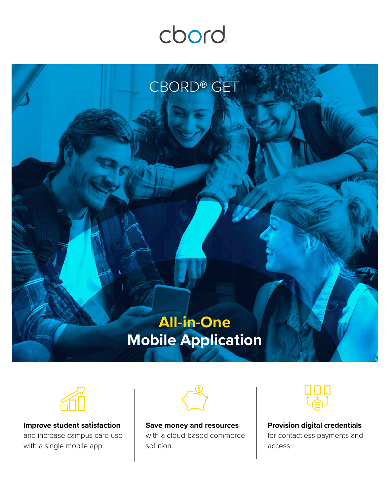## cbord





**Improve student satisfaction** and increase campus card use with a single mobile app.



**Save money and resources**  with a cloud-based commerce solution.



**Provision digital credentials** for contactless payments and access.